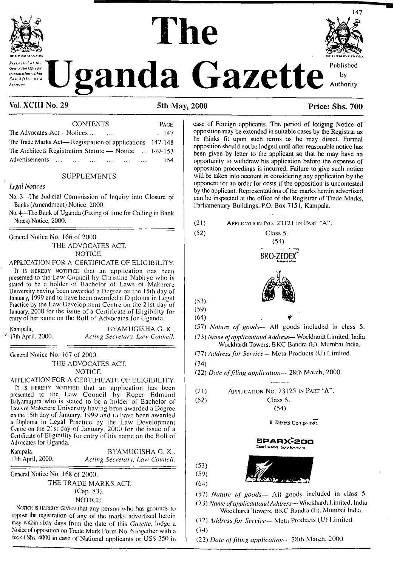

#### **THt KIM MXXrVGANOA** *Constitution of the Lease A* **Lease A Uganda Gazette** Published uansmission within East Africa as a **Newspaper**

# **The**



#### Vol. XCIII No. 29 5th May, 2000 Price: Shs. 700

| <b>CONTENTS</b>                                          | <b>PAGE</b> |
|----------------------------------------------------------|-------------|
| The Advocates Act—Notices<br>$\ddotsc$                   | 147         |
| The Trade Marks Act—Registration of applications 147-148 |             |
| The Architects Registration Statute - Notice  149-153    |             |
| Advertisements<br><b>Carlos Committee</b>                | 154.        |
|                                                          |             |

#### SUPPLEMENTS

#### *D'gal Notices*

No. 3—The Judicial Commission of Inquiry into Closure of Banks (Amendment) Notice, 2000.

No. 4—The Bank of Uganda (Fixing of time for Calling in Bank Noles) Notice, 2000.

General Notice No. 166 of 2000. THE ADVOCATES ACT. NOTICE.

APPLICATION FOR A CERTIFICATE OF ELIGIBILITY.

It is HEREBY NOTIFIED that an application has been presented to the Law Council by Christine Nabiryc who is stated to be a holder of Bachelor of Laws of Makercrc University having been awarded a Degree on the 15th day of January, 1999 and to have been awarded a Diploma in Legal Practice by the Law Development Centre on the 21st day of January, 2000 for the issue of a Certificate of Eligibility for entry of her name on the Roll of Advocates for Uganda.

Kampala, BYAMUGISHA G. K., 7- 17th April, 2000. *Acting Secretary. Law Council.*

General Notice No. 167 of 2000. THE ADVOCATES ACT. NOTICE.

APPLICATION FOR A CERTIFICATE OF ELIGIBILITY.

It is HEREBY NOTIFIED that an application has been presented to the Law Council by Roger Edmund Baljamujura who is stated to be a holder of Bachelor of Lausof Makererc University having been awarded a Degree on the 15th day of January. 1999 and to have been awarded a Diploma in Legal Practice by the Law Development Centre on the 21st day of January, 2000 for the issue of a Certificate of Eligibility for entry of his name on the Roll of Advocates for Uganda.

Kampala. BYAMUGISHA G. K., 17lh April, 2000. *Acting Secretary, Imw Council.*

General Notice No. 168 of 2000.

THE TRADE MARKS ACT. (Cap. 83). NOTICE.

NoncE is hereby given that any person who has grounds to oppose the registration of any of the marks advertised herein may witnin sixty days from the date of this *Gazette,* lodge a Notice of opposition on Trade Mark Form No. 6 together with a fee of Shs. 4000 in case of National applicants or US\$ 250 in case of Foreign applicants. The period of lodging Notice of opposition may be extended in suitable cases by the Registrar as he thinks fit upon such terms as he may direct. Forma! opposition should not be lodged until after reasonable notice has been given by letter to the applicant so that he may have an opportunity to withdraw his application before the expense of opposition proceedings is incurred. Failure to give such notice will be taken into account in considering any application by the opponent for an order for costs if the opposition is uncontested by the applicant. Representations of the marks herein advertised can be inspected al the office of the Registrar of Trade Marks, Parliamentary Buildings, P.O. Box 7151, Kampala.

- (21) Application No. 23121 inPart'A". (52) Class 5. (54) **BRO-ZEDE?** (53) (59)  $(64)$ *ff'*
- (57) *Nature of goods—* All goods included in class 5.

(73) *Name ofapplicantandAddress—* Wbckhardt Limited, India Wockhardt Towers. BKC Bandra (E), Mumbai India.

(77) *Addressfor Service—* Meta Products (U) Limited.

(74)

(22) *Date offiling application—* 28th March, 2000.

- (21) Application No. 23125 in Part "A".
- (52) Class 5. (54)

6 Tablets Comprimes

#### SPARX:200 rtaxacın Sparlaximuna

 $(53)$  $(59)$ 

 $(64)$ 



(57) *Nature of goods—* All goods included in class 5. (73) *Name ofapplicantandAddress—* Wbckhardt <sup>I</sup> .imilcd, India Wockhardt Towers, BKC Bandra (E), Mumbai India.

(77) *Addressfor Service—* Mela Products (U) Limited.

(74)

(22) *Date offiling application—* 28th Maich. 2000.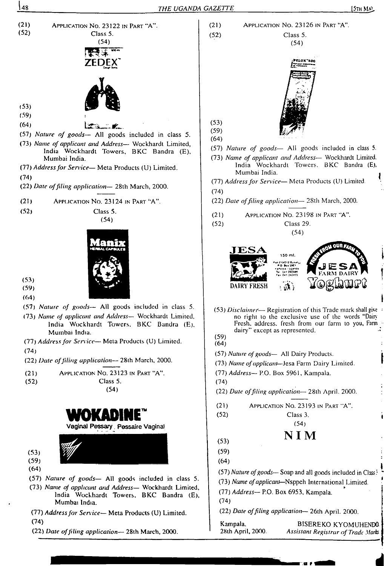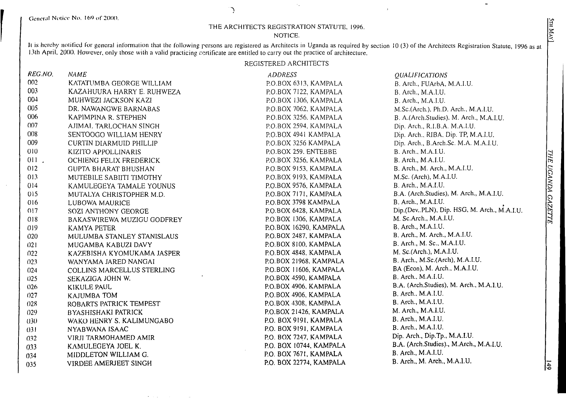#### THE ARCHITECTS REGISTRATION STATUTE, 1996.

 $\Delta$ 

 $\mathcal{A}_\bullet$ 

 $\ddot{\phantom{a}}$ 

#### NOTICE.

It is hereby notified for general information that the following persons are registered as Architects in Uganda as required by section 10 (3) of the Architects Registration Statute, 1996 as at 3th April. 2000. However, only those with a valid practicing certificate are entitled to carry out lhe practice of architecture.

#### REGISTERED ARCHITECTS

| REG.NO.          | <b>NAME</b>                 | <b>ADDRESS</b>          | <b>QUALIFICATIONS</b>                        |
|------------------|-----------------------------|-------------------------|----------------------------------------------|
| 002 <sub>1</sub> | KATATUMBA GEORGE WILLIAM    | P.O.BOX 6313, KAMPALA   | B. Arch., FUArbA, M.A.I.U.                   |
| 003              | KAZAHUURA HARRY E. RUHWEZA  | P.O.BOX 7122, KAMPALA   | B. Arch., M.A.I.U.                           |
| 00 <sup>1</sup>  | MUHWEZI JACKSON KAZI        | P.O.BOX 1306, KAMPALA   | B. Arch., M.A.I.U.                           |
| 005              | DR. NAWANGWE BARNABAS       | P.O.BOX 7062, KAMPALA   | M.Sc.(Arch.), Ph.D. Arch., M.A.I.U.          |
| 006              | KAPIMPINA R. STEPHEN        | P.O.BOX 3256, KAMPALA   | B. A.(Arch.Studies). M. Arch., M.A.I.U.      |
| 007              | AJIMAL TARLOCHAN SINGH      | P.O.BOX 2594, KAMPALA   | Dip. Arch., R.I.B.A. M.A.I.U.                |
| 008              | SENTOOGO WILLIAM HENRY      | P.O.BOX 4941 KAMPALA    | Dip. Arch., RIBA, Dip. TP, M.A.I.U.          |
| 009              | CURTIN DIARMUID PHILLIP     | P.O.BOX 3256 KAMPALA    | Dip. Arch., B.Arch.Sc. M.A. M.A.I.U.         |
| 010              | KIZITO APPOLLINARIS         | P.O.BOX 259. ENTEBBE    | B. Arch., M.A.I.U.                           |
| $011$ .          | OCHIENG FELIX FREDERICK     | P.O.BOX 3256, KAMPALA   | B. Arch., M.A.I.U.                           |
| 012              | <b>GUPTA BHARAT BHUSHAN</b> | P.O.BOX 9153, KAMPALA   | B. Arch., M. Arch., M.A.I.U.                 |
| 013              | MUTEBILE SABIITI TIMOTHY    | P.O.BOX 9193, KAMPALA   | M.Sc. (Arch), M.A.I.U.                       |
| 014              | KAMULEGEYA TAMALE YOUNUS    | P.O.BOX 9576, KAMPALA   | B. Arch., M.A.I.U.                           |
| 015              | MUTALYA CHRISTOPHER M.D.    | P.O.BOX 7171, KAMPALA   | B.A. (Arch.Studies), M. Arch., M.A.I.U.      |
| 016              | LUBOWA MAURICE              | P.O.BOX 3798 KAMPALA    | B. Arch., M.A.I.U.                           |
| 017              | SOZI ANTHONY GEORGE         | P.O.BOX 6428, KAMPALA   | Dip.(Dev.,PLN), Dip. HSG, M. Arch., M.A.I.U. |
| 018              | BAKASWIREWA MUZIGU GODFREY  | P.O.BOX 1306, KAMPALA   | M. Sc.Arch., M.A.I.U.                        |
| 019              | KAMYA PETER                 | P.O.BOX 16290, KAMPALA  | B. Arch., M.A.I.U.                           |
| 020              | MULUMBA STANLEY STANISLAUS  | P.O.BOX 2487, KAMPALA   | B. Arch., M. Arch., M.A.I.U.                 |
| 021              | MUGAMBA KABUZI DAVY         | P.O.BOX 8100, KAMPALA   | B. Arch., M. Sc., M.A.I.U.                   |
| 022              | KAZEBISHA KYOMUKAMA JASPER  | P.O.BOX 4848, KAMPALA   | M. Sc.(Arch.), M.A.I.U.                      |
| 023              | WANYAMA JARED NANGAI        | P.O.BOX 21968, KAMPALA  | B. Arch., M.Sc.(Arch), M.A.I.U.              |
| 024              | COLLINS MARCELLUS STERLING  | P.O.BOX 11606, KAMPALA  | BA (Econ), M. Arch., M.A.I.U.                |
| 025              | SEKAZIGA JOHN W.            | P.O.BOX 4590, KAMPALA   | B. Arch., M.A.I.U.                           |
| 026              | KIKULE PAUL                 | P.O.BOX 4906, KAMPALA   | B.A. (Arch.Studies), M. Arch., M.A.I.U.      |
| 027              | KAJUMBA TOM                 | P.O.BOX 4906, KAMPALA   | B. Arch., M.A.I.U.                           |
| 028              | ROBARTS PATRICK TEMPEST     | P.O.BOX 4308, KAMPALA   | B. Arch., M.A.I.U.                           |
| 029              | BYASHISHAKI PATRICK         | P.O.BOX 21426, KAMPALA  | M. Arch., M.A.I.U.                           |
| 030              | WAKO HENRY S. KALIMUNGABO   | P.O. BOX 9191, KAMPALA  | B. Arch., M.A.I.U.                           |
| 031              | NYABWANA ISAAC              | P.O. BOX 9191, KAMPALA  | B. Arch., M.A.I.U.                           |
| 032              | VIRJI TARMOHAMED AMIR       | P.O. BOX 7247, KAMPALA  | Dip. Arch., Dip.Tp., M.A.I.U.                |
| 033              | KAMULEGEYA JOEL K.          | P.O. BOX 10744, KAMPALA | B.A. (Arch.Studies)., M.Arch., M.A.I.U.      |
| 034              | MIDDLETON WILLIAM G.        | P.O. BOX 7671, KAMPALA  | B. Arch., M.A.I.U.                           |
| 035              | VIRDEE AMERJEET SINGH       | P.O. BOX 22774, KAMPALA | B. Arch., M. Arch., M.A.I.U.                 |

 $\overline{5}$ 

 $\sigma_{\rm c}$  ,  $\sigma_{\rm c}$  ,  $\sigma_{\rm c}$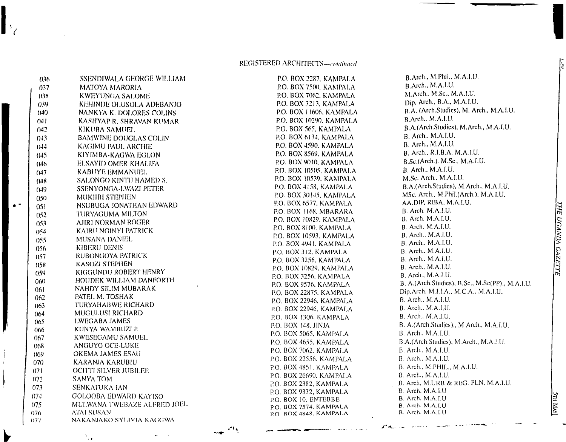#### REGISTERED ARCHITECTS-continued

| 036                    | SSENDIWALA GEORGE WILLIAM              |
|------------------------|----------------------------------------|
| 037                    | MATOYA MARORIA.                        |
| l<br>0.38 <sub>1</sub> | <b>KWEYUNGA SALOME</b>                 |
| 0.39                   | KEHINDE OLUSOLA ADEBANJO               |
| (14()                  | NANKYA K. DOLORES COLINS               |
| 04 I                   | KASHYAP R. SHRAVAN KUMAR               |
| N42.                   | KIKUBA SAMUEL                          |
| 0.13                   | <b>BAMWINE DOUGLAS COLIN</b>           |
| (114)                  | KAGIMU PAUL ARCHIE                     |
| (14.5)                 | KIYIMBA-KAGWA EGLON                    |
| (146)                  | ELSAYID OMER KHALIFA                   |
| 047                    | KABUYE EMMANUEL                        |
| (148)                  | SALONGO KINTU HAMED S.                 |
| (149)                  | SSENYONGA-LWAZI PETER                  |
| $050 -$                | MUKIIBI STEPHEN                        |
| 051                    | NSUBUGA JONATHAN EDWARD                |
| 0.52                   | TURYAGUMA MILTON                       |
| $053 -$                | AJIRI NORMAN ROGER                     |
| 054                    | KAIRU NGINYI PATRICK                   |
| 055                    | -MUSANA DANIEL                         |
| 056                    | <b>KIBERU DENIS</b>                    |
| 057                    | RUBONGOYA PATRICK                      |
| 058                    | KASOZI STEPHEN                         |
| 059                    | KIGGUNDU ROBERT HENRY                  |
| 060                    | HOUDEK WILLIAM DANFORTH                |
| 061                    | NAHDY SILIM MUBARAK                    |
| 062                    | PATEL M. TOSHAK                        |
| 063                    | <b>TURYAHABWE RICHARD</b>              |
| 064                    | MUGULUSI RICHARD                       |
| 065                    | LWEGABA JAMES                          |
| 066                    | KUNYA WAMBUZI P.                       |
| 067.                   | KWESEGAMU SAMUEL                       |
| 068                    | ANGUYO OCE-LUKE                        |
| 069.                   | OKEMA JAMES ESAU                       |
| (170)                  | KARANJA KARUBIU                        |
| 071                    | <b>OCITTI SILVER JUBILEE</b>           |
| 072                    | <b>SANYA TOM</b>                       |
| 073.                   | SENKATUKA IAN                          |
| 074                    | <b>GOLOOBA EDWARD KAYISO</b>           |
| 075                    | MULWANA TWEBAZE ALFRED JOEL            |
| 076                    | ATAI SUSAN<br>NAKANJAKO SYLIVIA KAGGWA |
| (177                   |                                        |

 $\|\cdot\|_2$ 

P.O. BOX 2287. KAMPALA RO. BOX 7500. KAMPALA RO. BOX 7062. KAMPALA P.O. BOX 3213. KAMPALA P.O. BOX 11606. KAMPALA RO. BOX 10290. KAMPALA P.O. BOX 565, KAMPALA RO. BOX 6134. KAMPALA RO. BOX 4590. KAMPALA P.O. BOX 8569. KAMPALA P.O. BOX 9010. KAMPALA P.O. BOX 10505. KAMPALA P.O. BOX 10539. KAMPALA P.O. BOX 4158, KAMPALA P.O. BOX 30145. KAMPALA P.O. BOX 6577, KAMPALA P.O. BOX 1168, MBARARA P.O. BOX 10829. KAMPALA P.O. BOX 8100. KAMPALA P.O. BOX 10593. KAMPALA RO. BOX 4941. KAMPALA P.O. BOX 312. KAMPALA P.O. BOX 3256. KAMPALA P.O. BOX 10829. KAMPALA RO. BOX 3256. KAMPALA P.O. BOX 9576, KAMPALA RO. BOX 22875. KAMPALA RO. BOX 22946, KAMPALA P.O. BOX 22946, KAMPALA P.O. BOX 1306. KAMPALA P.O. BOX 148. JINJA P.O. BOX 5065. KAMPALA P.O. BOX 4655, KAMPALA P.O. BOX 7062. KAMPALA P.O. BOX 22556. KAMPALA P.O. BOX 4851. KAMPALA P.O. BOX 26690. KAMPALA P.O. BOX 2382, KAMPALA P.O. BOX 9332, KAMPALA P.O. BOX 10, ENTEBBE P.O. BOX 7574. KAMPALA P.O ROX 4848. KAMPALA

B.Arch., M.PhiL, M.A.LU. B.Arch., M.A.I.U. M.Arch.. M.Sc., M.A.LU. Dip. Arch., B.A., M.A.LU. B.A. (Arch.Studies), M. Arch., M.A.LU. B.Arch., M.A.LU. B.A.(Arch.Studies), M.Arch., M.A.LU. B.Arch., M.A.LU. B. Arch., M.A.LU. B.Arch., R.LB.A. M.A.LU. B.Sc.(Arch.). M.Sc., M.A.LU. B. Arch., M.A.I.U. M.Sc. Arch.. M.A.LU. B.A.(Arch.Studies), M.Arch., M.A.LU. MSc. Arch., M.Phil.(Arch.), M.A.LU. AA.DIP, RIBA, M.A.LU. B. Arch. M.A.LU. B. Arch. M.A.LU. B. Arch. M.A.LU. B. Arch.. M.A.I.U. B. Arch., M.A.LU. B. Arch.. M.A.LU. B. Arch.. M.A.LU. B. Arch., M.A.I.U. B. Arch., M.A.LU. B. A.(Arch.Studies), B.Sc., M.Sc(PP)., M.A.LU. Dip.Arch. M.I.LA.. M.C.A., M.A.LU. B. Arch., M.A.LU. B. Arch.. M.A.LU. B. Arch.. M.A.I.U. B. A.(Arch.Studies)., M.Arch., M.A.LU. B. Arch.. M.A.LU. B.A.(Arch.Studies). M.Arch., M.A.LU. B. Arch.. M.A.LU. B. Arch., M.A.LU. B. Arch.. M.PHIL., M.A.I.U. B. Arch., M.A.LU. B. Arch, M.URB & REG. PLN, M.A.LU. B. Arch. M.A.I.U B. Arch. M.A.I.U B. Arch. M.A.I.U B. Arch. M.A.I.U

<mark>ітн Млу</mark>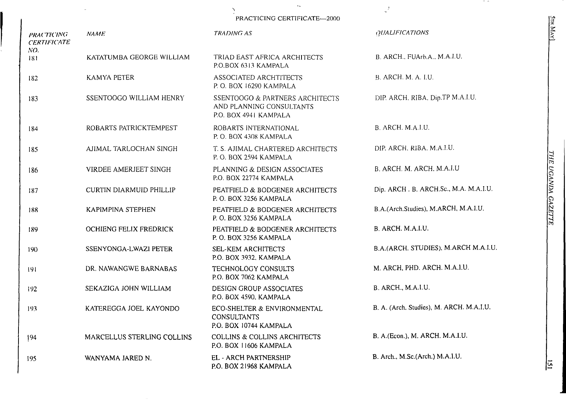PRACTICING CERTIFICATE—2000

 $\Delta$ 

 $\mathbf{x}_{\infty}$ 

 $\mathcal{I}$ 

| <b>PRACTICING</b><br><b>CERTIFICATE</b> | <b>NAME</b>                    | <b>TRADING AS</b>                                                                    | <b>QUALIFICATIONS</b>                    |
|-----------------------------------------|--------------------------------|--------------------------------------------------------------------------------------|------------------------------------------|
| NO.<br>181                              | KATATUMBA GEORGE WILLIAM       | TRIAD EAST AFRICA ARCHITECTS<br>P.O.BOX 6313 KAMPALA                                 | B. ARCH., FUArb.A., M.A.I.U.             |
| 182                                     | <b>KAMYA PETER</b>             | ASSOCIATED ARCHTITECTS<br>P.O. BOX 16290 KAMPALA                                     | B. ARCH. M. A. I.U.                      |
| 183                                     | SSENTOOGO WILLIAM HENRY        | SSENTOOGO & PARTNERS ARCHITECTS<br>AND PLANNING CONSULTANTS<br>P.O. BOX 4941 KAMPALA | DIP. ARCH. RIBA, Dip.TP M.A.I.U.         |
| 184                                     | ROBARTS PATRICKTEMPEST         | ROBARTS INTERNATIONAL<br>P.O. BOX 4308 KAMPALA                                       | B. ARCH. M.A.I.U.                        |
| 185                                     | AJIMAL TARLOCHAN SINGH         | T. S. AJIMAL CHARTERED ARCHITECTS<br>P.O. BOX 2594 KAMPALA                           | DIP. ARCH. RIBA. M.A.I.U.                |
| 186                                     | VIRDEE AMERJEET SINGH          | PLANNING & DESIGN ASSOCIATES<br>P.O. BOX 22774 KAMPALA                               | B. ARCH. M. ARCH. M.A.I.U                |
| 187                                     | <b>CURTIN DIARMUID PHILLIP</b> | PEATFIELD & BODGENER ARCHITECTS<br>P.O. BOX 3256 KAMPALA                             | Dip. ARCH. B. ARCH.Sc., M.A. M.A.I.U.    |
| 188                                     | KAPIMPINA STEPHEN              | PEATFIELD & BODGENER ARCHITECTS<br>P.O. BOX 3256 KAMPALA                             | B.A.(Arch.Studies), M.ARCH, M.A.I.U.     |
| 189                                     | OCHIENG FELIX FREDRICK         | PEATFIELD & BODGENER ARCHITECTS<br>P.O. BOX 3256 KAMPALA                             | B. ARCH. M.A.I.U.                        |
| 190                                     | SSENYONGA-LWAZI PETER          | <b>SEL-KEM ARCHITECTS</b><br>P.O. BOX 3932, KAMPALA                                  | B.A.(ARCH. STUDIES), M.ARCH M.A.I.U.     |
| -191                                    | DR. NAWANGWE BARNABAS          | TECHNOLOGY CONSULTS<br>P.O. BOX 7062 KAMPALA                                         | M. ARCH, PHD. ARCH. M.A.I.U.             |
| 192                                     | SEKAZIGA JOHN WILLIAM          | DESIGN GROUP ASSOCIATES<br>P.O. BOX 4590, KAMPALA                                    | B. ARCH., M.A.I.U.                       |
| 193                                     | KATEREGGA JOEL KAYONDO         | ECO-SHELTER & ENVIRONMENTAL<br><b>CONSULTANTS</b><br>P.O. BOX 10744 KAMPALA          | B. A. (Arch. Studies), M. ARCH. M.A.I.U. |
| 194                                     | MARCELLUS STERLING COLLINS     | <b>COLLINS &amp; COLLINS ARCHITECTS</b><br>P.O. BOX 11606 KAMPALA                    | B. A.(Econ.), M. ARCH. M.A.I.U.          |
| 195                                     | WANYAMA JARED N.               | EL - ARCH PARTNERSHIP<br>P.O. BOX 21968 KAMPALA                                      | B. Arch., M.Sc.(Arch.) M.A.I.U.          |

 $\sigma$  as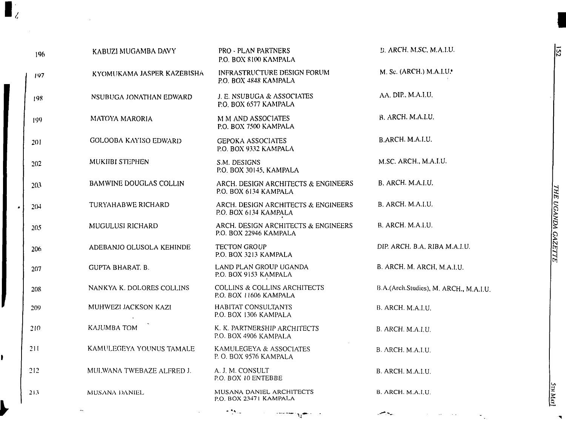| 196 | KABUZI MUGAMBA DAVY           | <b>PRO - PLAN PARTNERS</b><br>P.O. BOX 8100 KAMPALA               | <b>E. ARCH. M.SC. M.A.LU.</b>          |
|-----|-------------------------------|-------------------------------------------------------------------|----------------------------------------|
| 197 | KYOMUKAMA JASPER KAZEBISHA    | INFRASTRUCTURE DESIGN FORUM<br>P.O. BOX 4848 KAMPALA              | M. Sc. (ARCH.) M.A.I.U.                |
| 198 | NSUBUGA JONATHAN EDWARD       | J. E. NSUBUGA & ASSOCIATES<br>P.O. BOX 6577 KAMPALA               | AA. DIP., M.A.I.U.                     |
| 199 | MATOYA MARORIA                | M M AND ASSOCIATES<br>P.O. BOX 7500 KAMPALA                       | B. ARCH. M.A.I.U.                      |
| 201 | <b>GOLOOBA KAYISO EDWARD</b>  | <b>GEPOKA ASSOCIATES</b><br>P.O. BOX 9332 KAMPALA                 | B.ARCH. M.A.I.U.                       |
| 202 | MUKIIBI STEPHEN               | S.M. DESIGNS<br>P.O. BOX 30145, KAMPALA                           | M.SC. ARCH., M.A.I.U.                  |
| 203 | <b>BAMWINE DOUGLAS COLLIN</b> | ARCH. DESIGN ARCHITECTS & ENGINEERS<br>P.O. BOX 6134 KAMPALA      | B. ARCH. M.A.I.U.                      |
| 204 | TURYAHABWE RICHARD            | ARCH. DESIGN ARCHITECTS & ENGINEERS<br>P.O. BOX 6134 KAMPALA      | B. ARCH. M.A.I.U.                      |
| 205 | MUGULUSI RICHARD              | ARCH. DESIGN ARCHITECTS & ENGINEERS<br>P.O. BOX 22946 KAMPALA     | B. ARCH. M.A.I.U.                      |
| 206 | ADEBANJO OLUSOLA KEHINDE      | <b>TECTON GROUP</b><br>P.O. BOX 3213 KAMPALA                      | DIP. ARCH. B.A. RIBA M.A.I.U.          |
| 207 | <b>GUPTA BHARAT. B.</b>       | LAND PLAN GROUP UGANDA<br>P.O. BOX 9153 KAMPALA                   | B. ARCH. M. ARCH, M.A.I.U.             |
| 208 | NANKYA K. DOLORES COLLINS     | <b>COLLINS &amp; COLLINS ARCHITECTS</b><br>P.O. BOX 11606 KAMPALA | B.A.(Arch.Studies), M. ARCH., M.A.I.U. |
| 209 | MUHWEZI JACKSON KAZI          | HABITAT CONSULTANTS<br>P.O. BOX 1306 KAMPALA                      | B. ARCH. M.A.I.U.                      |
| 210 | KAJUMBA TOM                   | K. K. PARTNERSHIP ARCHITECTS<br>P.O. BOX 4906 KAMPALA             | B. ARCH. M.A.I.U.                      |
| 211 | KAMULEGEYA YOUNUS TAMALE      | KAMULEGEYA & ASSOCIATES<br>P.O. BOX 9576 KAMPALA                  | B. ARCH. M.A.I.U.                      |
| 212 | MULWANA TWEBAZE ALFRED J.     | A. J. M. CONSULT<br>P.O. BOX 10 ENTEBBE                           | B. ARCH. M.A.I.U.                      |
| 213 | MUSANA DANIEL                 | MUSANA DANIEL ARCHITECTS<br>P.O. BOX 23471 KAMPALA                | B. ARCH. M.A.I.U.                      |

 $\sim 2.5$  .

 $\cdots$ 

 $\mathbf{u}_1$ 

 $\blacksquare_i$ 

I

Ì.

 $\bullet$  .

 $\blacktriangledown$ 

 $\ddot{\phantom{0}}$  $\sim$   $\sim$ 

 $\sim$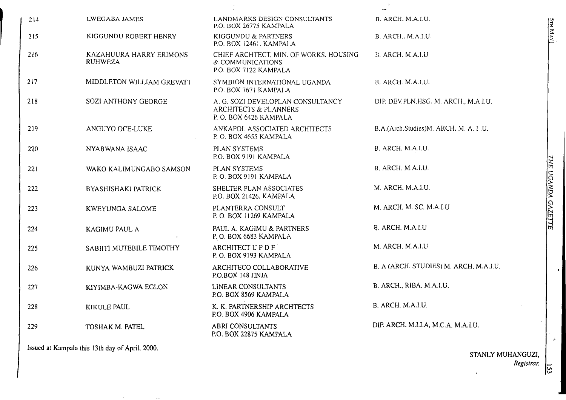| LWEGABA JAMES                             | LANDMARKS DESIGN CONSULTANTS<br>P.O. BOX 26775 KAMPALA                              | B. ARCH. M.A.I.U.                      |
|-------------------------------------------|-------------------------------------------------------------------------------------|----------------------------------------|
| KIGGUNDU ROBERT HENRY                     | KIGGUNDU & PARTNERS<br>P.O. BOX 12461, KAMPALA                                      | B. ARCH., M.A.I.U.                     |
| KAZAHUURA HARRY ERIMONS<br><b>RUHWEZA</b> | CHIEF ARCHTECT, MIN. OF WORKS, HOUSING<br>& COMMUNICATIONS<br>P.O. BOX 7122 KAMPALA | B. ARCH. M.A.I.U                       |
| MIDDLETON WILLIAM GREVATT                 | SYMBION INTERNATIONAL UGANDA<br>P.O. BOX 7671 KAMPALA                               | B. ARCH. M.A.I.U.                      |
| SOZI ANTHONY GEORGE                       | A. G. SOZI DEVELOPLAN CONSULTANCY<br>ARCHITECTS & PLANNERS<br>P.O. BOX 6426 KAMPALA | DIP. DEV.PLN, HSG. M. ARCH., M.A.I.U.  |
| ANGUYO OCE-LUKE                           | ANKAPOL ASSOCIATED ARCHITECTS<br>P.O. BOX 4655 KAMPALA                              | B.A.(Arch.Studies)M. ARCH, M. A. I.U.  |
| NYABWANA ISAAC                            | PLAN SYSTEMS<br>P.O. BOX 9191 KAMPALA                                               | B. ARCH. M.A.I.U.                      |
| WAKO KALIMUNGABO SAMSON                   | PLAN SYSTEMS<br>P.O. BOX 9191 KAMPALA                                               | B. ARCH. M.A.I.U.                      |
| <b>BYASHISHAKI PATRICK</b>                | SHELTER PLAN ASSOCIATES<br>P.O. BOX 21426, KAMPALA                                  | M. ARCH. M.A.I.U.                      |
| <b>KWEYUNGA SALOME</b>                    | PLANTERRA CONSULT<br>P.O. BOX 11269 KAMPALA                                         | M. ARCH. M. SC. M.A.I.U                |
| KAGIMU PAUL A                             | PAUL A. KAGIMU & PARTNERS<br>P.O. BOX 6683 KAMPALA                                  | B. ARCH. M.A.I.U                       |
| SABIITI MUTEBILE TIMOTHY                  | <b>ARCHITECT UPDF</b><br>P.O. BOX 9193 KAMPALA                                      | M. ARCH. M.A.I.U                       |
| KUNYA WAMBUZI PATRICK                     | ARCHITECO COLLABORATIVE<br>P.O.BOX 148 JINJA                                        | B. A (ARCH. STUDIES) M. ARCH, M.A.I.U. |
| KIYIMBA-KAGWA EGLON                       | LINEAR CONSULTANTS<br>P.O. BOX 8569 KAMPALA                                         | B. ARCH., RIBA, M.A.I.U.               |
| KIKULE PAUL                               | K. K. PARTNERSHIP ARCHTECTS<br>P.O. BOX 4906 KAMPALA                                | B. ARCH. M.A.I.U.                      |
| TOSHAK M. PATEL                           | <b>ABRI CONSULTANTS</b><br>P.O. BOX 22875 KAMPALA                                   | DIP. ARCH. M.I.I.A, M.C.A. M.A.I.U.    |
|                                           |                                                                                     |                                        |

Issued at Kampala this 13th day of April. 2000.

 $\sim$ 

and the control of the state

STANLY MUHANGUZI, *Registrar.* $\mathbf{v}$ 

5th M $\mid$   $\stackrel{.}{\cdot}$ 

\_\_\_\_\_\_\_\_\_\_\_\_\_\_\_\_\_\_\_\_\_\_\_\_\_\_\_\_\_\_\_\_\_\_

**THE UGANDA GAZETTE** *UGANDA GAZETTE*

 $\overline{5}$ 

 $\dot{\mathbf{z}}$